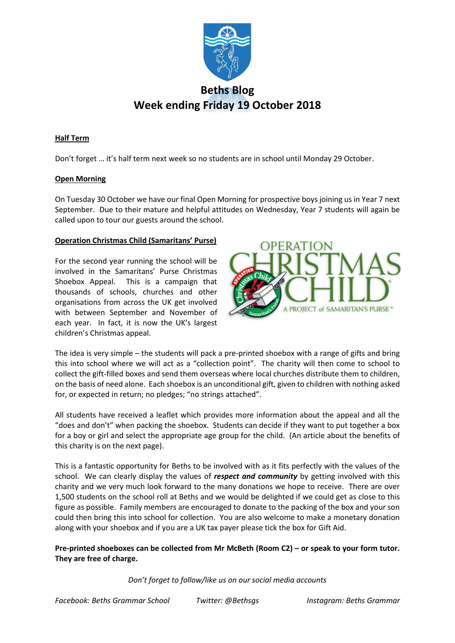

# **Beths Blog Week ending Friday 19 October 2018**

# **Half Term**

Don't forget … it's half term next week so no students are in school until Monday 29 October.

# **Open Morning**

On Tuesday 30 October we have our final Open Morning for prospective boys joining us in Year 7 next September. Due to their mature and helpful attitudes on Wednesday, Year 7 students will again be called upon to tour our guests around the school.

# **Operation Christmas Child (Samaritans' Purse)**

For the second year running the school will be involved in the Samaritans' Purse Christmas Shoebox Appeal. This is a campaign that thousands of schools, churches and other organisations from across the UK get involved with between September and November of each year. In fact, it is now the UK's largest children's Christmas appeal.



The idea is very simple – the students will pack a pre-printed shoebox with a range of gifts and bring this into school where we will act as a "collection point". The charity will then come to school to collect the gift-filled boxes and send them overseas where local churches distribute them to children, on the basis of need alone. Each shoebox is an unconditional gift, given to children with nothing asked for, or expected in return; no pledges; "no strings attached".

All students have received a leaflet which provides more information about the appeal and all the "does and don't" when packing the shoebox. Students can decide if they want to put together a box for a boy or girl and select the appropriate age group for the child. (An article about the benefits of this charity is on the next page).

This is a fantastic opportunity for Beths to be involved with as it fits perfectly with the values of the school. We can clearly display the values of *respect and community* by getting involved with this charity and we very much look forward to the many donations we hope to receive. There are over 1,500 students on the school roll at Beths and we would be delighted if we could get as close to this figure as possible. Family members are encouraged to donate to the packing of the box and your son could then bring this into school for collection. You are also welcome to make a monetary donation along with your shoebox and if you are a UK tax payer please tick the box for Gift Aid.

**Pre-printed shoeboxes can be collected from Mr McBeth (Room C2) – or speak to your form tutor. They are free of charge.**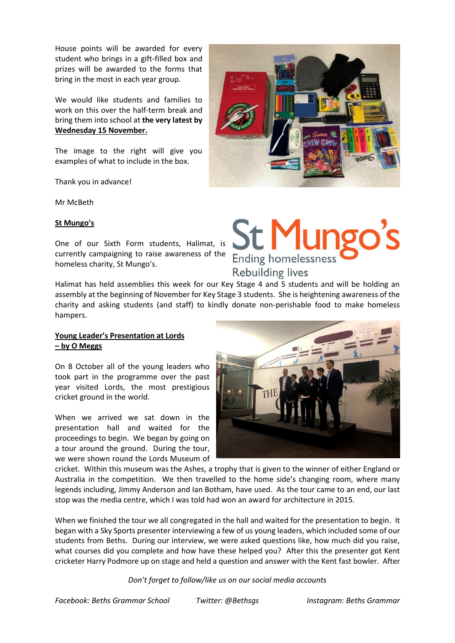House points will be awarded for every student who brings in a gift-filled box and prizes will be awarded to the forms that bring in the most in each year group.

We would like students and families to work on this over the half-term break and bring them into school at **the very latest by Wednesday 15 November.** 

The image to the right will give you examples of what to include in the box.

Thank you in advance!

Mr McBeth

#### **St Mungo's**

One of our Sixth Form students, Halimat, is currently campaigning to raise awareness of the homeless charity, St Mungo's.

Halimat has held assemblies this week for our Key Stage 4 and 5 students and will be holding an assembly at the beginning of November for Key Stage 3 students. She is heightening awareness of the charity and asking students (and staff) to kindly donate non-perishable food to make homeless hampers.

#### **Young Leader's Presentation at Lords – by O Meggs**

On 8 October all of the young leaders who took part in the programme over the past year visited Lords, the most prestigious cricket ground in the world.

When we arrived we sat down in the presentation hall and waited for the proceedings to begin. We began by going on a tour around the ground. During the tour, we were shown round the Lords Museum of

cricket. Within this museum was the Ashes, a trophy that is given to the winner of either England or Australia in the competition. We then travelled to the home side's changing room, where many legends including, Jimmy Anderson and Ian Botham, have used. As the tour came to an end, our last stop was the media centre, which I was told had won an award for architecture in 2015.

When we finished the tour we all congregated in the hall and waited for the presentation to begin. It began with a Sky Sports presenter interviewing a few of us young leaders, which included some of our students from Beths. During our interview, we were asked questions like, how much did you raise, what courses did you complete and how have these helped you? After this the presenter got Kent cricketer Harry Podmore up on stage and held a question and answer with the Kent fast bowler. After

*Don't forget to follow/like us on our social media accounts*



# **St Mun Ending homelessness**

**Rebuilding lives** 

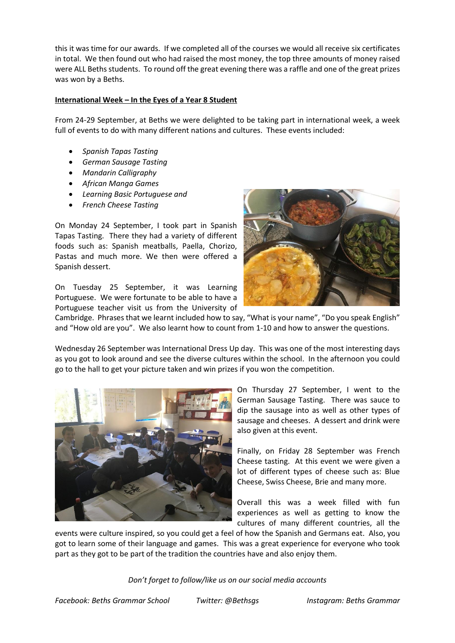this it was time for our awards. If we completed all of the courses we would all receive six certificates in total. We then found out who had raised the most money, the top three amounts of money raised were ALL Beths students. To round off the great evening there was a raffle and one of the great prizes was won by a Beths.

# **International Week – In the Eyes of a Year 8 Student**

From 24-29 September, at Beths we were delighted to be taking part in international week, a week full of events to do with many different nations and cultures. These events included:

- *Spanish Tapas Tasting*
- *German Sausage Tasting*
- *Mandarin Calligraphy*
- *African Manga Games*
- *Learning Basic Portuguese and*
- *French Cheese Tasting*

On Monday 24 September, I took part in Spanish Tapas Tasting. There they had a variety of different foods such as: Spanish meatballs, Paella, Chorizo, Pastas and much more. We then were offered a Spanish dessert.

On Tuesday 25 September, it was Learning Portuguese. We were fortunate to be able to have a Portuguese teacher visit us from the University of



Cambridge. Phrases that we learnt included how to say, "What is your name", "Do you speak English" and "How old are you". We also learnt how to count from 1-10 and how to answer the questions.

Wednesday 26 September was International Dress Up day. This was one of the most interesting days as you got to look around and see the diverse cultures within the school. In the afternoon you could go to the hall to get your picture taken and win prizes if you won the competition.



On Thursday 27 September, I went to the German Sausage Tasting. There was sauce to dip the sausage into as well as other types of sausage and cheeses. A dessert and drink were also given at this event.

Finally, on Friday 28 September was French Cheese tasting. At this event we were given a lot of different types of cheese such as: Blue Cheese, Swiss Cheese, Brie and many more.

Overall this was a week filled with fun experiences as well as getting to know the cultures of many different countries, all the

events were culture inspired, so you could get a feel of how the Spanish and Germans eat. Also, you got to learn some of their language and games. This was a great experience for everyone who took part as they got to be part of the tradition the countries have and also enjoy them.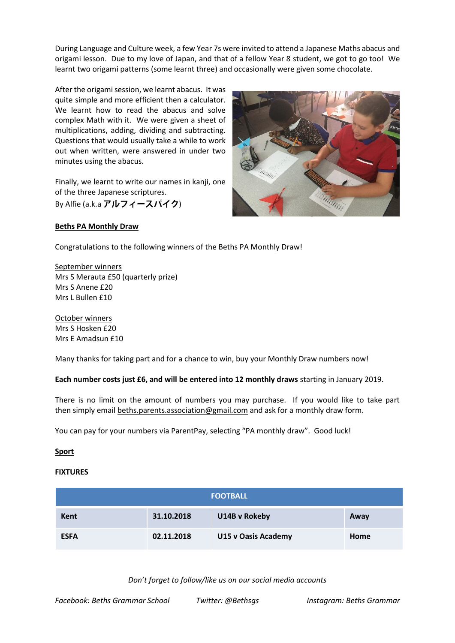During Language and Culture week, a few Year 7s were invited to attend a Japanese Maths abacus and origami lesson. Due to my love of Japan, and that of a fellow Year 8 student, we got to go too! We learnt two origami patterns (some learnt three) and occasionally were given some chocolate.

After the origami session, we learnt abacus. It was quite simple and more efficient then a calculator. We learnt how to read the abacus and solve complex Math with it. We were given a sheet of multiplications, adding, dividing and subtracting. Questions that would usually take a while to work out when written, were answered in under two minutes using the abacus.

Finally, we learnt to write our names in kanii, one of the three Japanese scriptures. By Alfie (a.k.a アルフィースパイク)



# **Beths PA Monthly Draw**

Congratulations to the following winners of the Beths PA Monthly Draw!

September winners Mrs S Merauta £50 (quarterly prize) Mrs S Anene £20 Mrs L Bullen £10

October winners Mrs S Hosken £20 Mrs E Amadsun £10

Many thanks for taking part and for a chance to win, buy your Monthly Draw numbers now!

**Each number costs just £6, and will be entered into 12 monthly draws** starting in January 2019.

There is no limit on the amount of numbers you may purchase. If you would like to take part then simply emai[l beths.parents.association@gmail.com](mailto:beths.parents.association@gmail.com) and ask for a monthly draw form.

You can pay for your numbers via ParentPay, selecting "PA monthly draw". Good luck!

# **Sport**

# **FIXTURES**

| <b>FOOTBALL</b> |            |                     |      |  |  |  |
|-----------------|------------|---------------------|------|--|--|--|
| <b>Kent</b>     | 31.10.2018 | U14B v Rokeby       | Away |  |  |  |
| <b>ESFA</b>     | 02.11.2018 | U15 v Oasis Academy | Home |  |  |  |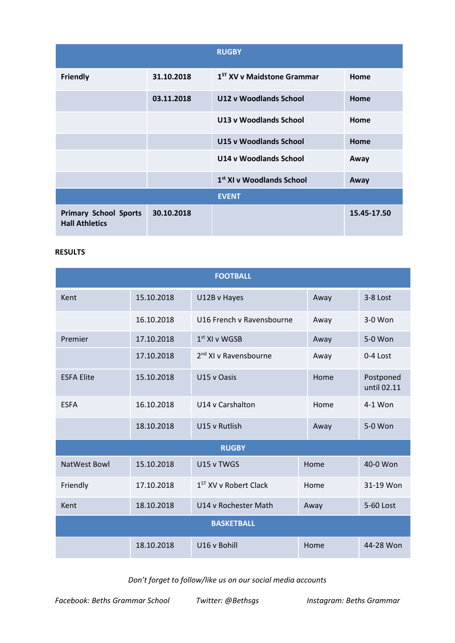|                                                       |            | <b>RUGBY</b>                           |             |
|-------------------------------------------------------|------------|----------------------------------------|-------------|
| <b>Friendly</b>                                       | 31.10.2018 | 1 <sup>ST</sup> XV v Maidstone Grammar | Home        |
|                                                       | 03.11.2018 | U12 v Woodlands School                 | Home        |
|                                                       |            | U13 v Woodlands School                 | Home        |
|                                                       |            | <b>U15 v Woodlands School</b>          | Home        |
|                                                       |            | U14 v Woodlands School                 | Away        |
|                                                       |            | 1 <sup>st</sup> XI v Woodlands School  | Away        |
|                                                       |            | <b>EVENT</b>                           |             |
| <b>Primary School Sports</b><br><b>Hall Athletics</b> | 30.10.2018 |                                        | 15.45-17.50 |

# **RESULTS**

| <b>FOOTBALL</b>     |            |                                   |      |                          |  |  |  |  |
|---------------------|------------|-----------------------------------|------|--------------------------|--|--|--|--|
| Kent                | 15.10.2018 | U12B v Hayes                      | Away | 3-8 Lost                 |  |  |  |  |
|                     | 16.10.2018 | U16 French v Ravensbourne         | Away | 3-0 Won                  |  |  |  |  |
| Premier             | 17.10.2018 | $1st$ XI v WGSB                   | Away | 5-0 Won                  |  |  |  |  |
|                     | 17.10.2018 | 2 <sup>nd</sup> XI v Ravensbourne | Away | 0-4 Lost                 |  |  |  |  |
| <b>ESFA Elite</b>   | 15.10.2018 | U15 v Oasis                       | Home | Postponed<br>until 02.11 |  |  |  |  |
| <b>ESFA</b>         | 16.10.2018 | U14 v Carshalton                  | Home | 4-1 Won                  |  |  |  |  |
|                     | 18.10.2018 | U15 v Rutlish                     | Away | 5-0 Won                  |  |  |  |  |
| <b>RUGBY</b>        |            |                                   |      |                          |  |  |  |  |
| <b>NatWest Bowl</b> | 15.10.2018 | U15 v TWGS                        | Home | 40-0 Won                 |  |  |  |  |
| Friendly            | 17.10.2018 | 1 <sup>ST</sup> XV v Robert Clack | Home | 31-19 Won                |  |  |  |  |
| Kent                | 18.10.2018 | U14 v Rochester Math              | Away | 5-60 Lost                |  |  |  |  |
| <b>BASKETBALL</b>   |            |                                   |      |                          |  |  |  |  |
|                     | 18.10.2018 | U16 v Bohill                      | Home | 44-28 Won                |  |  |  |  |